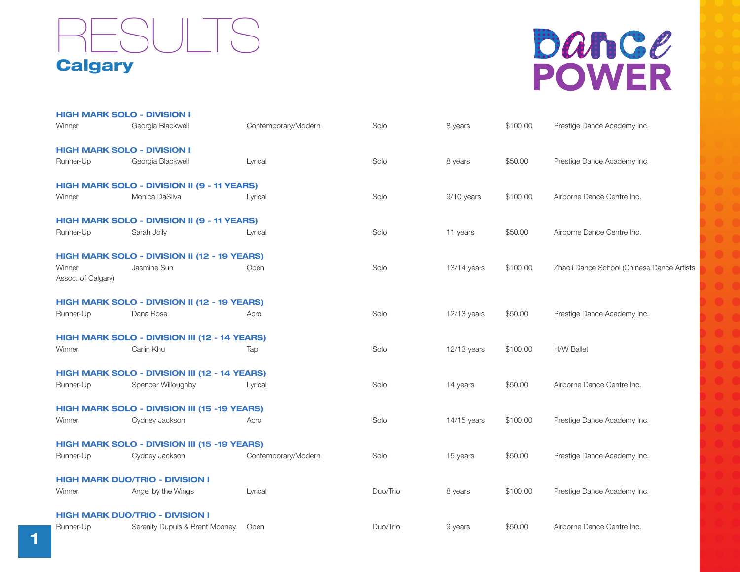## **Calgary** RESULTS

# bance **POWER**

|                              | <b>HIGH MARK SOLO - DIVISION I</b>            |                     |          |               |          |                                            |
|------------------------------|-----------------------------------------------|---------------------|----------|---------------|----------|--------------------------------------------|
| Winner                       | Georgia Blackwell                             | Contemporary/Modern | Solo     | 8 years       | \$100.00 | Prestige Dance Academy Inc.                |
|                              | <b>HIGH MARK SOLO - DIVISION I</b>            |                     |          |               |          |                                            |
| Runner-Up                    | Georgia Blackwell                             | Lyrical             | Solo     | 8 years       | \$50.00  | Prestige Dance Academy Inc.                |
|                              | HIGH MARK SOLO - DIVISION II (9 - 11 YEARS)   |                     |          |               |          |                                            |
| Winner                       | Monica DaSilva                                | Lyrical             | Solo     | 9/10 years    | \$100.00 | Airborne Dance Centre Inc.                 |
|                              | HIGH MARK SOLO - DIVISION II (9 - 11 YEARS)   |                     |          |               |          |                                            |
| Runner-Up                    | Sarah Jolly                                   | Lyrical             | Solo     | 11 years      | \$50.00  | Airborne Dance Centre Inc.                 |
|                              | HIGH MARK SOLO - DIVISION II (12 - 19 YEARS)  |                     |          |               |          |                                            |
| Winner<br>Assoc. of Calgary) | Jasmine Sun                                   | Open                | Solo     | $13/14$ years | \$100.00 | Zhaoli Dance School (Chinese Dance Artists |
|                              | HIGH MARK SOLO - DIVISION II (12 - 19 YEARS)  |                     |          |               |          |                                            |
| Runner-Up                    | Dana Rose                                     | Acro                | Solo     | $12/13$ years | \$50.00  | Prestige Dance Academy Inc.                |
|                              | HIGH MARK SOLO - DIVISION III (12 - 14 YEARS) |                     |          |               |          |                                            |
| Winner                       | Carlin Khu                                    | Tap                 | Solo     | 12/13 years   | \$100.00 | H/W Ballet                                 |
|                              | HIGH MARK SOLO - DIVISION III (12 - 14 YEARS) |                     |          |               |          |                                            |
| Runner-Up                    | Spencer Willoughby                            | Lyrical             | Solo     | 14 years      | \$50.00  | Airborne Dance Centre Inc.                 |
|                              | HIGH MARK SOLO - DIVISION III (15 -19 YEARS)  |                     |          |               |          |                                            |
| Winner                       | Cydney Jackson                                | Acro                | Solo     | $14/15$ years | \$100.00 | Prestige Dance Academy Inc.                |
|                              | HIGH MARK SOLO - DIVISION III (15 -19 YEARS)  |                     |          |               |          |                                            |
| Runner-Up                    | Cydney Jackson                                | Contemporary/Modern | Solo     | 15 years      | \$50.00  | Prestige Dance Academy Inc.                |
|                              | <b>HIGH MARK DUO/TRIO - DIVISION I</b>        |                     |          |               |          |                                            |
| Winner                       | Angel by the Wings                            | Lyrical             | Duo/Trio | 8 years       | \$100.00 | Prestige Dance Academy Inc.                |
|                              | <b>HIGH MARK DUO/TRIO - DIVISION I</b>        |                     |          |               |          |                                            |
| Runner-Up                    | Serenity Dupuis & Brent Mooney                | Open                | Duo/Trio | 9 years       | \$50.00  | Airborne Dance Centre Inc.                 |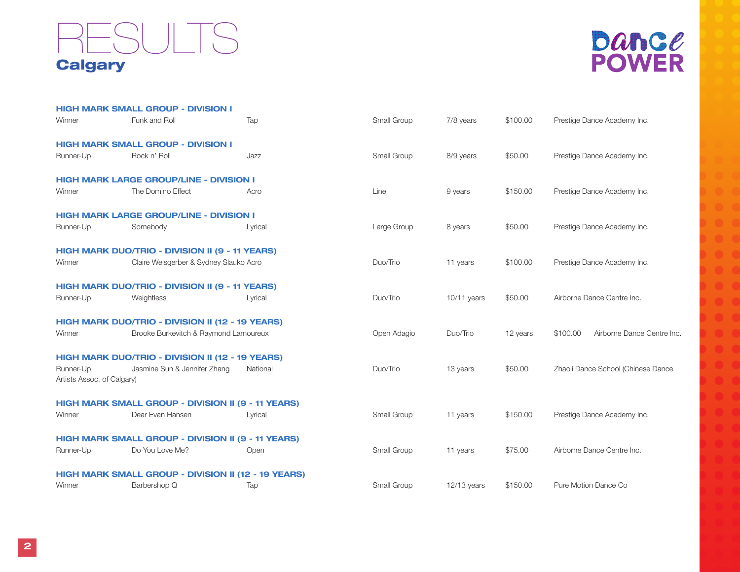### **Calgary** RESULTS



|                                         | <b>HIGH MARK SMALL GROUP - DIVISION I</b>           |          |             |               |          |                                        |
|-----------------------------------------|-----------------------------------------------------|----------|-------------|---------------|----------|----------------------------------------|
| Winner                                  | Funk and Roll                                       | Tap      | Small Group | 7/8 years     | \$100.00 | Prestige Dance Academy Inc.            |
|                                         | <b>HIGH MARK SMALL GROUP - DIVISION I</b>           |          |             |               |          |                                        |
| Runner-Up                               | Rock n' Roll                                        | Jazz     | Small Group | 8/9 years     | \$50.00  | Prestige Dance Academy Inc.            |
|                                         | <b>HIGH MARK LARGE GROUP/LINE - DIVISION I</b>      |          |             |               |          |                                        |
| Winner                                  | The Domino Effect                                   | Acro     | Line        | 9 years       | \$150.00 | Prestige Dance Academy Inc.            |
|                                         | <b>HIGH MARK LARGE GROUP/LINE - DIVISION I</b>      |          |             |               |          |                                        |
| Runner-Up                               | Somebody                                            | Lyrical  | Large Group | 8 years       | \$50.00  | Prestige Dance Academy Inc.            |
|                                         | HIGH MARK DUO/TRIO - DIVISION II (9 - 11 YEARS)     |          |             |               |          |                                        |
| Winner                                  | Claire Weisgerber & Sydney Slauko Acro              |          | Duo/Trio    | 11 years      | \$100.00 | Prestige Dance Academy Inc.            |
|                                         | HIGH MARK DUO/TRIO - DIVISION II (9 - 11 YEARS)     |          |             |               |          |                                        |
| Runner-Up                               | Weightless                                          | Lyrical  | Duo/Trio    | $10/11$ years | \$50.00  | Airborne Dance Centre Inc.             |
|                                         | HIGH MARK DUO/TRIO - DIVISION II (12 - 19 YEARS)    |          |             |               |          |                                        |
| Winner                                  | Brooke Burkevitch & Raymond Lamoureux               |          | Open Adagio | Duo/Trio      | 12 years | Airborne Dance Centre Inc.<br>\$100.00 |
|                                         | HIGH MARK DUO/TRIO - DIVISION II (12 - 19 YEARS)    |          |             |               |          |                                        |
| Runner-Up<br>Artists Assoc. of Calgary) | Jasmine Sun & Jennifer Zhang                        | National | Duo/Trio    | 13 years      | \$50.00  | Zhaoli Dance School (Chinese Dance     |
|                                         | HIGH MARK SMALL GROUP - DIVISION II (9 - 11 YEARS)  |          |             |               |          |                                        |
| Winner                                  | Dear Evan Hansen                                    | Lyrical  | Small Group | 11 years      | \$150.00 | Prestige Dance Academy Inc.            |
|                                         | HIGH MARK SMALL GROUP - DIVISION II (9 - 11 YEARS)  |          |             |               |          |                                        |
| Runner-Up                               | Do You Love Me?                                     | Open     | Small Group | 11 years      | \$75.00  | Airborne Dance Centre Inc.             |
|                                         | HIGH MARK SMALL GROUP - DIVISION II (12 - 19 YEARS) |          |             |               |          |                                        |
| Winner                                  | Barbershop Q                                        | Tap      | Small Group | $12/13$ years | \$150.00 | Pure Motion Dance Co                   |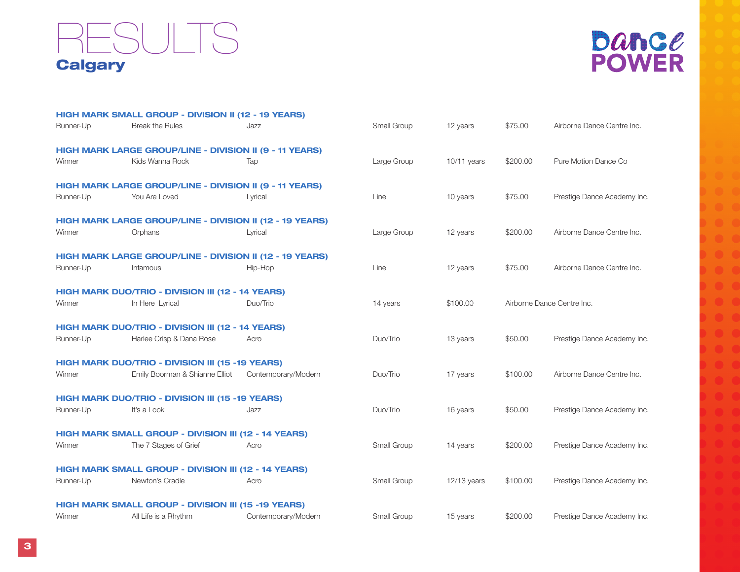### **Calgary ESULTS**



|           | HIGH MARK SMALL GROUP - DIVISION II (12 - 19 YEARS)             |                     |             |             |          |                             |
|-----------|-----------------------------------------------------------------|---------------------|-------------|-------------|----------|-----------------------------|
| Runner-Up | <b>Break the Rules</b>                                          | Jazz                | Small Group | 12 years    | \$75.00  | Airborne Dance Centre Inc.  |
|           | HIGH MARK LARGE GROUP/LINE - DIVISION II (9 - 11 YEARS)         |                     |             |             |          |                             |
| Winner    | Kids Wanna Rock                                                 | Tap                 | Large Group | 10/11 years | \$200.00 | Pure Motion Dance Co        |
|           | HIGH MARK LARGE GROUP/LINE - DIVISION II (9 - 11 YEARS)         |                     |             |             |          |                             |
| Runner-Up | You Are Loved                                                   | Lyrical             | Line        | 10 years    | \$75.00  | Prestige Dance Academy Inc. |
|           | HIGH MARK LARGE GROUP/LINE - DIVISION II (12 - 19 YEARS)        |                     |             |             |          |                             |
| Winner    | Orphans                                                         | Lyrical             | Large Group | 12 years    | \$200.00 | Airborne Dance Centre Inc.  |
|           | <b>HIGH MARK LARGE GROUP/LINE - DIVISION II (12 - 19 YEARS)</b> |                     |             |             |          |                             |
| Runner-Up | Infamous                                                        | Hip-Hop             | Line        | 12 years    | \$75.00  | Airborne Dance Centre Inc.  |
|           | HIGH MARK DUO/TRIO - DIVISION III (12 - 14 YEARS)               |                     |             |             |          |                             |
| Winner    | In Here Lyrical                                                 | Duo/Trio            | 14 years    | \$100.00    |          | Airborne Dance Centre Inc.  |
|           | HIGH MARK DUO/TRIO - DIVISION III (12 - 14 YEARS)               |                     |             |             |          |                             |
| Runner-Up | Harlee Crisp & Dana Rose                                        | Acro                | Duo/Trio    | 13 years    | \$50.00  | Prestige Dance Academy Inc. |
|           | HIGH MARK DUO/TRIO - DIVISION III (15 -19 YEARS)                |                     |             |             |          |                             |
| Winner    | Emily Boorman & Shianne Elliot                                  | Contemporary/Modern | Duo/Trio    | 17 years    | \$100.00 | Airborne Dance Centre Inc.  |
|           | HIGH MARK DUO/TRIO - DIVISION III (15 -19 YEARS)                |                     |             |             |          |                             |
| Runner-Up | It's a Look                                                     | Jazz                | Duo/Trio    | 16 years    | \$50.00  | Prestige Dance Academy Inc. |
|           | HIGH MARK SMALL GROUP - DIVISION III (12 - 14 YEARS)            |                     |             |             |          |                             |
| Winner    | The 7 Stages of Grief                                           | Acro                | Small Group | 14 years    | \$200.00 | Prestige Dance Academy Inc. |
|           | HIGH MARK SMALL GROUP - DIVISION III (12 - 14 YEARS)            |                     |             |             |          |                             |
| Runner-Up | Newton's Cradle                                                 | Acro                | Small Group | 12/13 years | \$100.00 | Prestige Dance Academy Inc. |
|           | HIGH MARK SMALL GROUP - DIVISION III (15 -19 YEARS)             |                     |             |             |          |                             |
| Winner    | All Life is a Rhythm                                            | Contemporary/Modern | Small Group | 15 years    | \$200.00 | Prestige Dance Academy Inc. |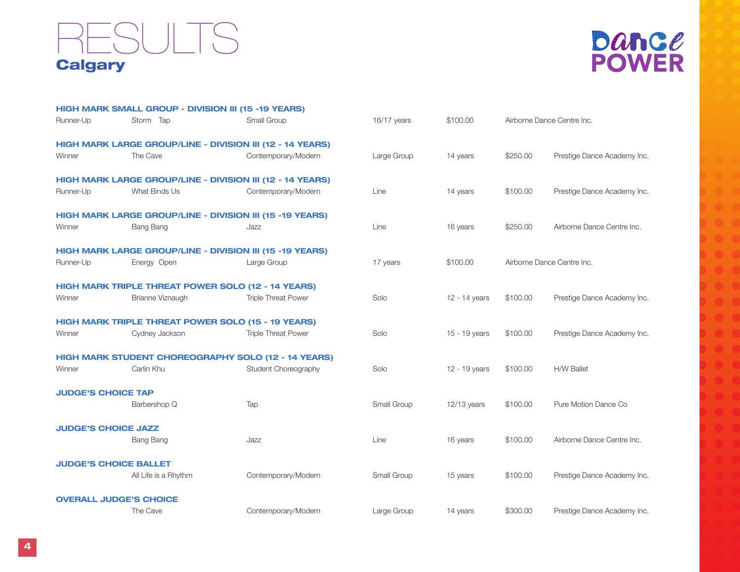### **Calgary ESULTS**



|                               | <b>HIGH MARK SMALL GROUP - DIVISION III (15 -19 YEARS)</b>       |                            |             |               |          |                             |
|-------------------------------|------------------------------------------------------------------|----------------------------|-------------|---------------|----------|-----------------------------|
| Runner-Up                     | Storm Tap                                                        | Small Group                | 16/17 years | \$100.00      |          | Airborne Dance Centre Inc.  |
|                               | HIGH MARK LARGE GROUP/LINE - DIVISION III (12 - 14 YEARS)        |                            |             |               |          |                             |
| Winner                        | The Cave                                                         | Contemporary/Modern        | Large Group | 14 years      | \$250.00 | Prestige Dance Academy Inc. |
|                               | <b>HIGH MARK LARGE GROUP/LINE - DIVISION III (12 - 14 YEARS)</b> |                            |             |               |          |                             |
| Runner-Up                     | What Binds Us                                                    | Contemporary/Modern        | Line        | 14 years      | \$100.00 | Prestige Dance Academy Inc. |
|                               | HIGH MARK LARGE GROUP/LINE - DIVISION III (15 -19 YEARS)         |                            |             |               |          |                             |
| Winner                        | Bang Bang                                                        | Jazz                       | Line        | 16 years      | \$250.00 | Airborne Dance Centre Inc.  |
|                               | HIGH MARK LARGE GROUP/LINE - DIVISION III (15 -19 YEARS)         |                            |             |               |          |                             |
| Runner-Up                     | Energy Open                                                      | Large Group                | 17 years    | \$100.00      |          | Airborne Dance Centre Inc.  |
|                               | <b>HIGH MARK TRIPLE THREAT POWER SOLO (12 - 14 YEARS)</b>        |                            |             |               |          |                             |
| Winner                        | Brianne Viznaugh                                                 | <b>Triple Threat Power</b> | Solo        | 12 - 14 years | \$100.00 | Prestige Dance Academy Inc. |
|                               | <b>HIGH MARK TRIPLE THREAT POWER SOLO (15 - 19 YEARS)</b>        |                            |             |               |          |                             |
| Winner                        | Cydney Jackson                                                   | <b>Triple Threat Power</b> | Solo        | 15 - 19 years | \$100.00 | Prestige Dance Academy Inc. |
|                               | <b>HIGH MARK STUDENT CHOREOGRAPHY SOLO (12 - 14 YEARS)</b>       |                            |             |               |          |                             |
| Winner                        | Carlin Khu                                                       | Student Choreography       | Solo        | 12 - 19 years | \$100.00 | <b>H/W Ballet</b>           |
| <b>JUDGE'S CHOICE TAP</b>     |                                                                  |                            |             |               |          |                             |
|                               | Barbershop Q                                                     | Tap                        | Small Group | $12/13$ years | \$100.00 | Pure Motion Dance Co        |
| <b>JUDGE'S CHOICE JAZZ</b>    |                                                                  |                            |             |               |          |                             |
|                               | <b>Bang Bang</b>                                                 | Jazz                       | Line        | 16 years      | \$100.00 | Airborne Dance Centre Inc.  |
| <b>JUDGE'S CHOICE BALLET</b>  |                                                                  |                            |             |               |          |                             |
|                               | All Life is a Rhythm                                             | Contemporary/Modern        | Small Group | 15 years      | \$100.00 | Prestige Dance Academy Inc. |
| <b>OVERALL JUDGE'S CHOICE</b> |                                                                  |                            |             |               |          |                             |
|                               | The Cave                                                         | Contemporary/Modern        | Large Group | 14 years      | \$300.00 | Prestige Dance Academy Inc. |